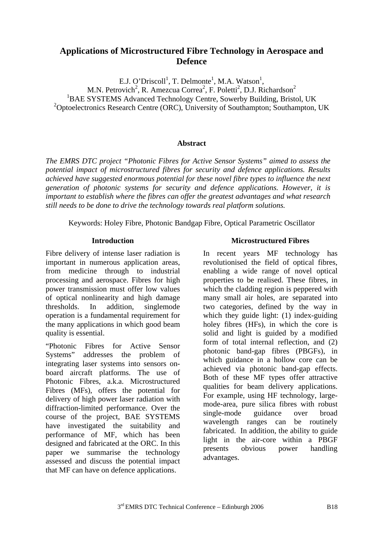# **Applications of Microstructured Fibre Technology in Aerospace and Defence**

E.J. O'Driscoll<sup>1</sup>, T. Delmonte<sup>1</sup>, M.A. Watson<sup>1</sup>, M.N. Petrovich<sup>2</sup>, R. Amezcua Correa<sup>2</sup>, F. Poletti<sup>2</sup>, D.J. Richardson<sup>2</sup><br><sup>1</sup>RAE SYSTEMS Advanced Technology Centre, Sourchy Building, Bristo <sup>1</sup>BAE SYSTEMS Advanced Technology Centre, Sowerby Building, Bristol, UK <sup>2</sup>Optoelectronics Research Centre (ORC), University of Southampton; Southampton, UK

### **Abstract**

*The EMRS DTC project "Photonic Fibres for Active Sensor Systems" aimed to assess the potential impact of microstructured fibres for security and defence applications. Results achieved have suggested enormous potential for these novel fibre types to influence the next generation of photonic systems for security and defence applications. However, it is important to establish where the fibres can offer the greatest advantages and what research still needs to be done to drive the technology towards real platform solutions.* 

Keywords: Holey Fibre, Photonic Bandgap Fibre, Optical Parametric Oscillator

### **Introduction**

Fibre delivery of intense laser radiation is important in numerous application areas, from medicine through to industrial processing and aerospace. Fibres for high power transmission must offer low values of optical nonlinearity and high damage thresholds. In addition, singlemode operation is a fundamental requirement for the many applications in which good beam quality is essential.

"Photonic Fibres for Active Sensor Systems" addresses the problem of integrating laser systems into sensors onboard aircraft platforms. The use of Photonic Fibres, a.k.a. Microstructured Fibres (MFs), offers the potential for delivery of high power laser radiation with diffraction-limited performance. Over the course of the project, BAE SYSTEMS have investigated the suitability and performance of MF, which has been designed and fabricated at the ORC. In this paper we summarise the technology assessed and discuss the potential impact that MF can have on defence applications.

# **Microstructured Fibres**

In recent years MF technology has revolutionised the field of optical fibres, enabling a wide range of novel optical properties to be realised. These fibres, in which the cladding region is peppered with many small air holes, are separated into two categories, defined by the way in which they guide light: (1) index-guiding holey fibres (HFs), in which the core is solid and light is guided by a modified form of total internal reflection, and (2) photonic band-gap fibres (PBGFs), in which guidance in a hollow core can be achieved via photonic band-gap effects. Both of these MF types offer attractive qualities for beam delivery applications. For example, using HF technology, largemode-area, pure silica fibres with robust single-mode guidance over broad wavelength ranges can be routinely fabricated. In addition, the ability to guide light in the air-core within a PBGF presents obvious power handling advantages.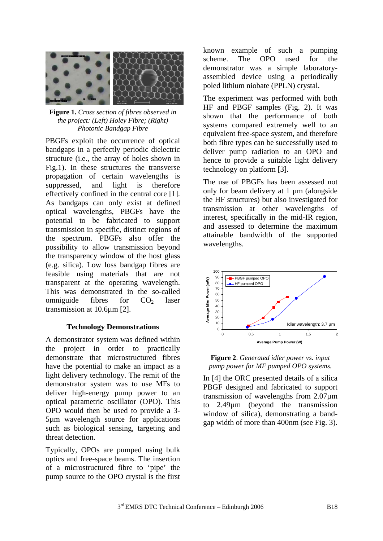

**Figure 1.** *Cross section of fibres observed in the project: (Left) Holey Fibre; (Right) Photonic Bandgap Fibre* 

PBGFs exploit the occurrence of optical bandgaps in a perfectly periodic dielectric structure (i.e., the array of holes shown in Fig.1). In these structures the transverse propagation of certain wavelengths is suppressed, and light is therefore effectively confined in the central core [1]. As bandgaps can only exist at defined optical wavelengths, PBGFs have the potential to be fabricated to support transmission in specific, distinct regions of the spectrum. PBGFs also offer the possibility to allow transmission beyond the transparency window of the host glass (e.g. silica). Low loss bandgap fibres are feasible using materials that are not transparent at the operating wavelength. This was demonstrated in the so-called omniguide fibres for  $CO<sub>2</sub>$  laser transmission at 10.6µm [2].

#### **Technology Demonstrations**

A demonstrator system was defined within the project in order to practically demonstrate that microstructured fibres have the potential to make an impact as a light delivery technology. The remit of the demonstrator system was to use MFs to deliver high-energy pump power to an optical parametric oscillator (OPO). This OPO would then be used to provide a 3- 5µm wavelength source for applications such as biological sensing, targeting and threat detection.

Typically, OPOs are pumped using bulk optics and free-space beams. The insertion of a microstructured fibre to 'pipe' the pump source to the OPO crystal is the first known example of such a pumping scheme. The OPO used for the demonstrator was a simple laboratoryassembled device using a periodically poled lithium niobate (PPLN) crystal.

The experiment was performed with both HF and PBGF samples (Fig. 2). It was shown that the performance of both systems compared extremely well to an equivalent free-space system, and therefore both fibre types can be successfully used to deliver pump radiation to an OPO and hence to provide a suitable light delivery technology on platform [3].

The use of PBGFs has been assessed not only for beam delivery at 1 µm (alongside the HF structures) but also investigated for transmission at other wavelengths of interest, specifically in the mid-IR region, and assessed to determine the maximum attainable bandwidth of the supported wavelengths.



#### **Figure 2**. *Generated idler power vs. input pump power for MF pumped OPO systems.*

In [4] the ORC presented details of a silica PBGF designed and fabricated to support transmission of wavelengths from 2.07µm to 2.49µm (beyond the transmission window of silica), demonstrating a bandgap width of more than 400nm (see Fig. 3).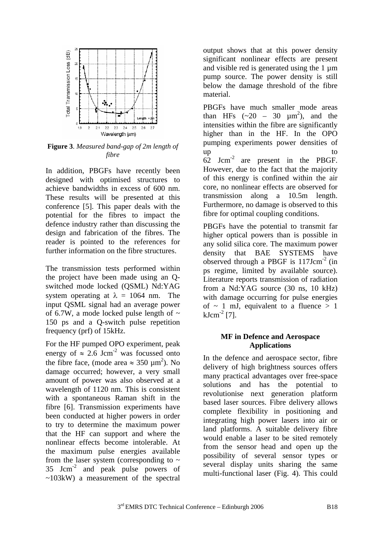

**Figure 3**. *Measured band-gap of 2m length of fibre*

In addition, PBGFs have recently been designed with optimised structures to achieve bandwidths in excess of 600 nm. These results will be presented at this conference [5]. This paper deals with the potential for the fibres to impact the defence industry rather than discussing the design and fabrication of the fibres. The reader is pointed to the references for further information on the fibre structures.

The transmission tests performed within the project have been made using an Qswitched mode locked (QSML) Nd:YAG system operating at  $\lambda = 1064$  nm. The input QSML signal had an average power of 6.7W, a mode locked pulse length of  $\sim$ 150 ps and a Q-switch pulse repetition frequency (prf) of 15kHz.

For the HF pumped OPO experiment, peak energy of  $\approx 2.6$  Jcm<sup>-2</sup> was focussed onto the fibre face, (mode area  $\approx 350 \mu m^2$ ). No damage occurred; however, a very small amount of power was also observed at a wavelength of 1120 nm. This is consistent with a spontaneous Raman shift in the fibre [6]. Transmission experiments have been conducted at higher powers in order to try to determine the maximum power that the HF can support and where the nonlinear effects become intolerable. At the maximum pulse energies available from the laser system (corresponding to  $\sim$  $35$  Jcm<sup>-2</sup> and peak pulse powers of  $\sim$ 103kW) a measurement of the spectral

output shows that at this power density significant nonlinear effects are present and visible red is generated using the 1  $\mu$ m pump source. The power density is still below the damage threshold of the fibre material.

PBGFs have much smaller mode areas than HFs  $(-20 - 30 \mu m^2)$ , and the intensities within the fibre are significantly higher than in the HF. In the OPO pumping experiments power densities of up to to to the to to to to to the to the to the to the to the to the to the to the to the to the to the to th 62 Jcm-2 are present in the PBGF. However, due to the fact that the majority of this energy is confined within the air core, no nonlinear effects are observed for transmission along a 10.5m length. Furthermore, no damage is observed to this fibre for optimal coupling conditions.

PBGFs have the potential to transmit far higher optical powers than is possible in any solid silica core. The maximum power density that BAE SYSTEMS have observed through a PBGF is  $117 \text{Jcm}^{-2}$  (in ps regime, limited by available source). Literature reports transmission of radiation from a Nd:YAG source (30 ns, 10 kHz) with damage occurring for pulse energies of  $\sim$  1 mJ, equivalent to a fluence  $> 1$  $kJcm<sup>-2</sup>$  [7].

#### **MF in Defence and Aerospace Applications**

In the defence and aerospace sector, fibre delivery of high brightness sources offers many practical advantages over free-space solutions and has the potential to revolutionise next generation platform based laser sources. Fibre delivery allows complete flexibility in positioning and integrating high power lasers into air or land platforms. A suitable delivery fibre would enable a laser to be sited remotely from the sensor head and open up the possibility of several sensor types or several display units sharing the same multi-functional laser (Fig. 4). This could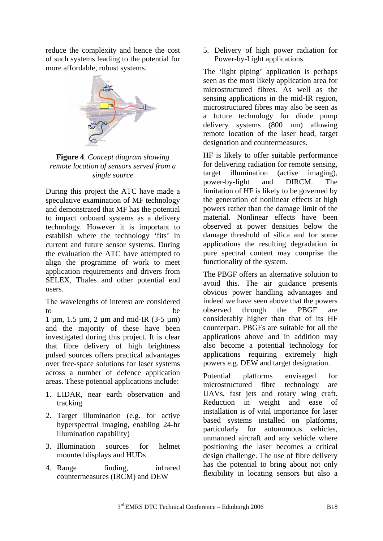reduce the complexity and hence the cost of such systems leading to the potential for more affordable, robust systems.



**Figure 4**. *Concept diagram showing remote location of sensors served from a single source* 

During this project the ATC have made a speculative examination of MF technology and demonstrated that MF has the potential to impact onboard systems as a delivery technology. However it is important to establish where the technology 'fits' in current and future sensor systems. During the evaluation the ATC have attempted to align the programme of work to meet application requirements and drivers from SELEX, Thales and other potential end users.

The wavelengths of interest are considered to be

1 µm, 1.5 µm, 2 µm and mid-IR (3-5 µm) and the majority of these have been investigated during this project. It is clear that fibre delivery of high brightness pulsed sources offers practical advantages over free-space solutions for laser systems across a number of defence application areas. These potential applications include:

- 1. LIDAR, near earth observation and tracking
- 2. Target illumination (e.g. for active hyperspectral imaging, enabling 24-hr illumination capability)
- 3. Illumination sources for helmet mounted displays and HUDs
- 4. Range finding, infrared countermeasures (IRCM) and DEW

5. Delivery of high power radiation for Power-by-Light applications

The 'light piping' application is perhaps seen as the most likely application area for microstructured fibres. As well as the sensing applications in the mid-IR region, microstructured fibres may also be seen as a future technology for diode pump delivery systems (800 nm) allowing remote location of the laser head, target designation and countermeasures.

HF is likely to offer suitable performance for delivering radiation for remote sensing, target illumination (active imaging), power-by-light and DIRCM. The limitation of HF is likely to be governed by the generation of nonlinear effects at high powers rather than the damage limit of the material. Nonlinear effects have been observed at power densities below the damage threshold of silica and for some applications the resulting degradation in pure spectral content may comprise the functionality of the system.

The PBGF offers an alternative solution to avoid this. The air guidance presents obvious power handling advantages and indeed we have seen above that the powers observed through the PBGF are considerably higher than that of its HF counterpart. PBGFs are suitable for all the applications above and in addition may also become a potential technology for applications requiring extremely high powers e.g. DEW and target designation.

Potential platforms envisaged for microstructured fibre technology are UAVs, fast jets and rotary wing craft. Reduction in weight and ease of installation is of vital importance for laser based systems installed on platforms, particularly for autonomous vehicles, unmanned aircraft and any vehicle where positioning the laser becomes a critical design challenge. The use of fibre delivery has the potential to bring about not only flexibility in locating sensors but also a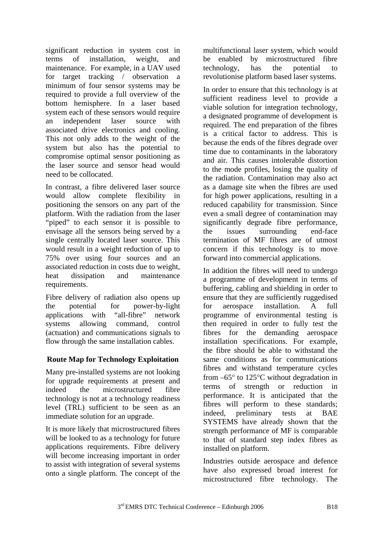significant reduction in system cost in terms of installation, weight, and maintenance. For example, in a UAV used for target tracking / observation a minimum of four sensor systems may be required to provide a full overview of the bottom hemisphere. In a laser based system each of these sensors would require an independent laser source with associated drive electronics and cooling. This not only adds to the weight of the system but also has the potential to compromise optimal sensor positioning as the laser source and sensor head would need to be collocated.

In contrast, a fibre delivered laser source would allow complete flexibility in positioning the sensors on any part of the platform. With the radiation from the laser "piped" to each sensor it is possible to envisage all the sensors being served by a single centrally located laser source. This would result in a weight reduction of up to 75% over using four sources and an associated reduction in costs due to weight, heat dissipation and maintenance requirements.

Fibre delivery of radiation also opens up the potential for power-by-light applications with "all-fibre" network systems allowing command, control (actuation) and communications signals to flow through the same installation cables.

# **Route Map for Technology Exploitation**

Many pre-installed systems are not looking for upgrade requirements at present and indeed the microstructured fibre technology is not at a technology readiness level (TRL) sufficient to be seen as an immediate solution for an upgrade.

It is more likely that microstructured fibres will be looked to as a technology for future applications requirements. Fibre delivery will become increasing important in order to assist with integration of several systems onto a single platform. The concept of the

multifunctional laser system, which would be enabled by microstructured fibre technology, has the potential to revolutionise platform based laser systems.

In order to ensure that this technology is at sufficient readiness level to provide a viable solution for integration technology, a designated programme of development is required. The end preparation of the fibres is a critical factor to address. This is because the ends of the fibres degrade over time due to contaminants in the laboratory and air. This causes intolerable distortion to the mode profiles, losing the quality of the radiation. Contamination may also act as a damage site when the fibres are used for high power applications, resulting in a reduced capability for transmission. Since even a small degree of contamination may significantly degrade fibre performance, the issues surrounding end-face termination of MF fibres are of utmost concern if this technology is to move forward into commercial applications.

In addition the fibres will need to undergo a programme of development in terms of buffering, cabling and shielding in order to ensure that they are sufficiently ruggedised for aerospace installation. A full programme of environmental testing is then required in order to fully test the fibres for the demanding aerospace installation specifications. For example, the fibre should be able to withstand the same conditions as for communications fibres and withstand temperature cycles from –65° to 125°C without degradation in terms of strength or reduction in performance. It is anticipated that the fibres will perform to these standards; indeed, preliminary tests at BAE SYSTEMS have already shown that the strength performance of MF is comparable to that of standard step index fibres as installed on platform.

Industries outside aerospace and defence have also expressed broad interest for microstructured fibre technology. The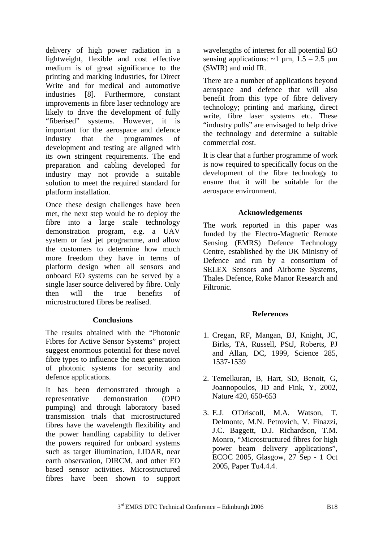delivery of high power radiation in a lightweight, flexible and cost effective medium is of great significance to the printing and marking industries, for Direct Write and for medical and automotive industries [8]. Furthermore, constant improvements in fibre laser technology are likely to drive the development of fully "fiberised" systems. However, it is important for the aerospace and defence industry that the programmes of development and testing are aligned with its own stringent requirements. The end preparation and cabling developed for industry may not provide a suitable solution to meet the required standard for platform installation.

Once these design challenges have been met, the next step would be to deploy the fibre into a large scale technology demonstration program, e.g. a UAV system or fast jet programme, and allow the customers to determine how much more freedom they have in terms of platform design when all sensors and onboard EO systems can be served by a single laser source delivered by fibre. Only then will the true benefits of microstructured fibres be realised.

# **Conclusions**

The results obtained with the "Photonic Fibres for Active Sensor Systems" project suggest enormous potential for these novel fibre types to influence the next generation of photonic systems for security and defence applications.

It has been demonstrated through a representative demonstration (OPO pumping) and through laboratory based transmission trials that microstructured fibres have the wavelength flexibility and the power handling capability to deliver the powers required for onboard systems such as target illumination, LIDAR, near earth observation, DIRCM, and other EO based sensor activities. Microstructured fibres have been shown to support

wavelengths of interest for all potential EO sensing applications:  $\sim$ 1 µm, 1.5 – 2.5 µm (SWIR) and mid IR.

There are a number of applications beyond aerospace and defence that will also benefit from this type of fibre delivery technology; printing and marking, direct write, fibre laser systems etc. These "industry pulls" are envisaged to help drive the technology and determine a suitable commercial cost.

It is clear that a further programme of work is now required to specifically focus on the development of the fibre technology to ensure that it will be suitable for the aerospace environment.

# **Acknowledgements**

The work reported in this paper was funded by the Electro-Magnetic Remote Sensing (EMRS) Defence Technology Centre, established by the UK Ministry of Defence and run by a consortium of SELEX Sensors and Airborne Systems, Thales Defence, Roke Manor Research and Filtronic.

#### **References**

- 1. Cregan, RF, Mangan, BJ, Knight, JC, Birks, TA, Russell, PStJ, Roberts, PJ and Allan, DC, 1999, Science 285, 1537-1539
- 2. Temelkuran, B, Hart, SD, Benoit, G, Joannopoulos, JD and Fink, Y, 2002, Nature 420, 650-653
- 3. E.J. O'Driscoll, M.A. Watson, T. Delmonte, M.N. Petrovich, V. Finazzi, J.C. Baggett, D.J. Richardson, T.M. Monro, "Microstructured fibres for high power beam delivery applications", ECOC 2005, Glasgow, 27 Sep - 1 Oct 2005, Paper Tu4.4.4.